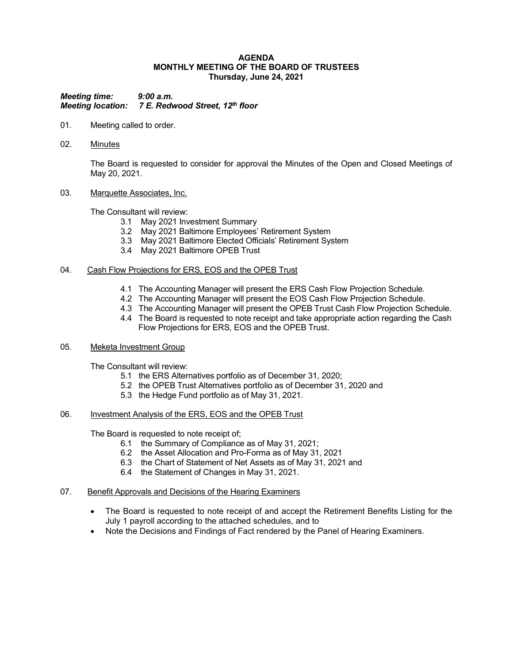#### **AGENDA MONTHLY MEETING OF THE BOARD OF TRUSTEES Thursday, June 24, 2021**

*Meeting time: 9:00 a.m. Meeting location: 7 E. Redwood Street, 12th floor*

- 01. Meeting called to order.
- 02. Minutes

The Board is requested to consider for approval the Minutes of the Open and Closed Meetings of May 20, 2021.

### 03. Marquette Associates, Inc.

The Consultant will review:

- 3.1 May 2021 Investment Summary
- 3.2 May 2021 Baltimore Employees' Retirement System
- 3.3 May 2021 Baltimore Elected Officials' Retirement System
- 3.4 May 2021 Baltimore OPEB Trust

### 04. Cash Flow Projections for ERS, EOS and the OPEB Trust

- 4.1 The Accounting Manager will present the ERS Cash Flow Projection Schedule.
- 4.2 The Accounting Manager will present the EOS Cash Flow Projection Schedule.
- 4.3 The Accounting Manager will present the OPEB Trust Cash Flow Projection Schedule.
- 4.4 The Board is requested to note receipt and take appropriate action regarding the Cash Flow Projections for ERS, EOS and the OPEB Trust.

### 05. Meketa Investment Group

The Consultant will review:

- 5.1 the ERS Alternatives portfolio as of December 31, 2020;
- 5.2 the OPEB Trust Alternatives portfolio as of December 31, 2020 and
- 5.3 the Hedge Fund portfolio as of May 31, 2021.

# 06. Investment Analysis of the ERS, EOS and the OPEB Trust

The Board is requested to note receipt of;

- 6.1 the Summary of Compliance as of May 31, 2021;
- 6.2 the Asset Allocation and Pro-Forma as of May 31, 2021
- 6.3 the Chart of Statement of Net Assets as of May 31, 2021 and
- 6.4 the Statement of Changes in May 31, 2021.

### 07. Benefit Approvals and Decisions of the Hearing Examiners

- The Board is requested to note receipt of and accept the Retirement Benefits Listing for the July 1 payroll according to the attached schedules, and to
- Note the Decisions and Findings of Fact rendered by the Panel of Hearing Examiners.